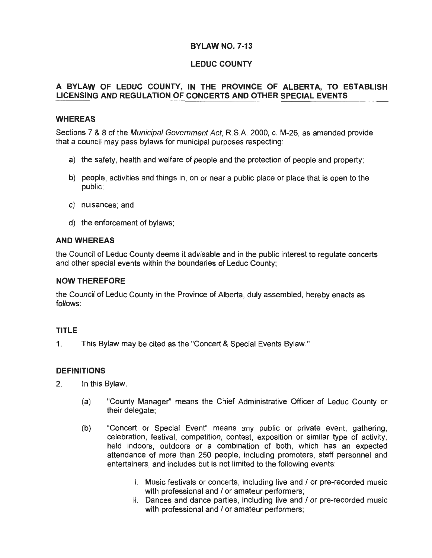# **LEDUC COUNTY**

# **A BYLAW OF LEDUC COUNTY, IN THE PROVINCE OF ALBERTA, TO ESTABLISH LICENSING AND REGULATION OF CONCERTS AND OTHER SPECIAL EVENTS**

# **WHEREAS**

Sections 7 & 8 of the Municipal Government Act, R.S.A. 2000, c. M-26, as amended provide that a council may pass bylaws for municipal purposes respecting :

- a) the safety, health and welfare of people and the protection of people and property;
- b) people, activities and things in, on or near a public place or place that is open to the public;
- c) nuisances; and
- d) the enforcement of bylaws;

# **AND WHEREAS**

the Council of Leduc County deems it advisable and in the public interest to regulate concerts and other special events within the boundaries of Leduc County;

### **NOW THEREFORE**

the Council of Leduc County in the Province of Alberta, duly assembled, hereby enacts as follows:

# **TITLE**

1. This Bylaw may be cited as the "Concert & Special Events Bylaw."

# **DEFINITIONS**

- 2. In this Bylaw,
	- (a) "County Manager" means the Chief Administrative Officer of Leduc County or their delegate;
	- (b) "Concert or Special Event" means any public or private event, gathering, celebration, festival, competition, contest, exposition or similar type of activity, held indoors, outdoors or a combination of both, which has an expected attendance of more than 250 people, including promoters, staff personnel and entertainers, and includes but is not limited to the following events:
		- i. Music festivals or concerts, including live and / or pre-recorded music with professional and / or amateur performers;
		- ii. Dances and dance parties, including live and / or pre-recorded music with professional and / or amateur performers;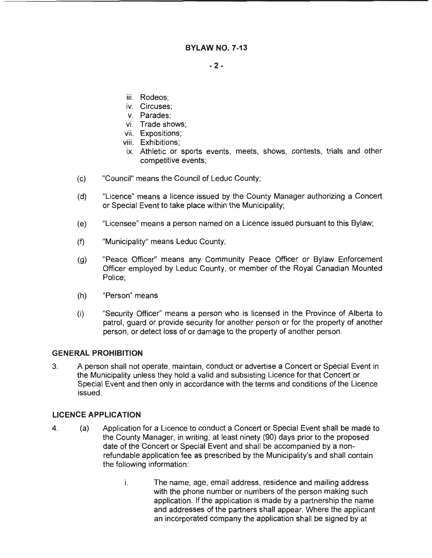- **2-**

- iii. Rodeos;
- iv. Circuses;
- v. Parades;
- vi. Trade shows;
- vii. Expositions;
- viii. Exhibitions;
- ix. Athletic or sports events, meets, shows, contests, trials and other competitive events;
- (c) "Council" means the Council of Leduc County;
- (d) "Licence" means a licence issued by the County Manager authorizing a Concert or Special Event to take place within the Municipality;
- (e) "Licensee" means a person named on a Licence issued pursuant to this Bylaw;
- (f) "Municipality" means Leduc County;
- (g) "Peace Officer" means any Community Peace Officer or Bylaw Enforcement Officer employed by Leduc County, or member of the Royal Canadian Mounted Police;
- (h) "Person" means
- (i) "Security Officer" means a person who is licensed in the Province of Alberta to patrol, guard or provide security for another person or for the property of another person, or detect loss of or damage to the property of another person.

#### **GENERAL PROHIBITION**

3. A person shall not operate, maintain, conduct or advertise a Concert or Special Event in the Municipality unless they hold a valid and subsisting Licence for that Concert or Special Event and then only in accordance with the terms and conditions of the Licence issued.

#### **LICENCE APPLICATION**

- 4. (a) Application for a Licence to conduct a Concert or Special Event shall be made to the County Manager, in writing, at least ninety (90) days prior to the proposed date of the Concert or Special Event and shall be accompanied by a nonrefundable application fee as prescribed by the Municipality's and shall contain the following information:
	- i. The name, age, email address, residence and mailing address with the phone number or numbers of the person making such application. If the application is made by a partnership the name and addresses of the partners shall appear. Where the applicant an incorporated company the application shall be signed by at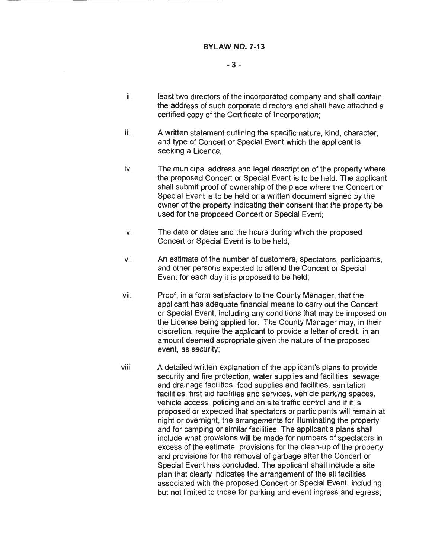### - 3-

- ii. least two directors of the incorporated company and shall contain the address of such corporate directors and shall have attached a certified copy of the Certificate of Incorporation;
- iii. A written statement outlining the specific nature, kind, character, and type of Concert or Special Event which the applicant is seeking a Licence;
- iv. The municipal address and legal description of the property where the proposed Concert or Special Event is to be held. The applicant shall submit proof of ownership of the place where the Concert or Special Event is to be held or a written document signed by the owner of the property indicating their consent that the property be used for the proposed Concert or Special Event;
- v. The date or dates and the hours during which the proposed Concert or Special Event is to be held;
- vi. An estimate of the number of customers, spectators, participants, and other persons expected to attend the Concert or Special Event for each day it is proposed to be held;
- vii. Proof, in a form satisfactory to the County Manager, that the applicant has adequate financial means to carry out the Concert or Special Event, including any conditions that may be imposed on the License being applied for. The County Manager may, in their discretion, require the applicant to provide a letter of credit, in an amount deemed appropriate given the nature of the proposed event, as security;
- viii. A detailed written explanation of the applicant's plans to provide security and fire protection, water supplies and facilities, sewage and drainage facilities, food supplies and facilities, sanitation facilities, first aid facilities and services, vehicle parking spaces, vehicle access, policing and on site traffic control and if it is proposed or expected that spectators or participants will remain at night or overnight, the arrangements for illuminating the property and for camping or similar facilities. The applicant's plans shall include what provisions will be made for numbers of spectators in excess of the estimate, provisions for the clean-up of the property and provisions for the removal of garbage after the Concert or Special Event has concluded. The applicant shall include a site plan that clearly indicates the arrangement of the all facilities associated with the proposed Concert or Special Event, including but not limited to those for parking and event ingress and egress;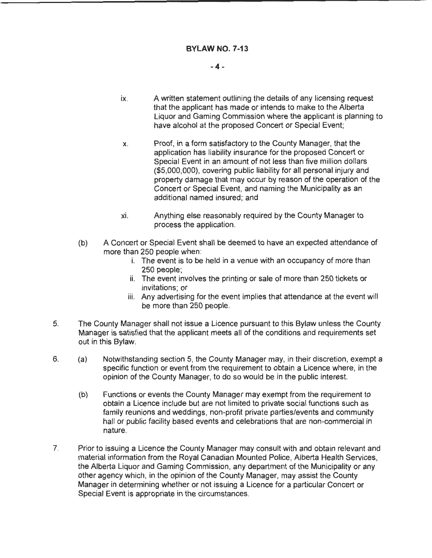### **-4-**

- ix. A written statement outlining the details of any licensing request that the applicant has made or intends to make to the Alberta Liquor and Gaming Commission where the applicant is planning to have alcohol at the proposed Concert or Special Event;
- x. Proof, in a form satisfactory to the County Manager, that the application has liability insurance for the proposed Concert or Special Event in an amount of not less than five million dollars (\$5,000,000), covering public liability for all personal injury and property damage that may occur by reason of the operation of the Concert or Special Event, and naming the Municipality as an additional named insured; and
- xi. Anything else reasonably required by the County Manager to process the application.
- (b) A Concert or Special Event shall be deemed to have an expected attendance of more than 250 people when:
	- i. The event is to be held in a venue with an occupancy of more than 250 people;
	- ii. The event involves the printing or sale of more than 250 tickets or invitations; or
	- iii. Any advertising for the event implies that attendance at the event will be more than 250 people.
- 5. The County Manager shall not issue a Licence pursuant to this Bylaw unless the County Manager is satisfied that the applicant meets all of the conditions and requirements set out in this Bylaw.
- 6. (a) Notwithstanding section 5, the County Manager may, in their discretion, exempt a specific function or event from the requirement to obtain a Licence where, in the opinion of the County Manager, to do so would be in the public interest.
	- (b) Functions or events the County Manager may exempt from the requirement to obtain a Licence include but are not limited to private social functions such as family reunions and weddings, non-profit private parties/events and community hall or public facility based events and celebrations that are non-commercial in nature.
- 7. Prior to issuing a Licence the County Manager may consult with and obtain relevant and material information from the Royal Canadian Mounted Police, Alberta Health Services, the Alberta Liquor and Gaming Commission, any department of the Municipality or any other agency which, in the opinion of the County Manager, may assist the County Manager in determining whether or not issuing a Licence for a particular Concert or Special Event is appropriate in the circumstances.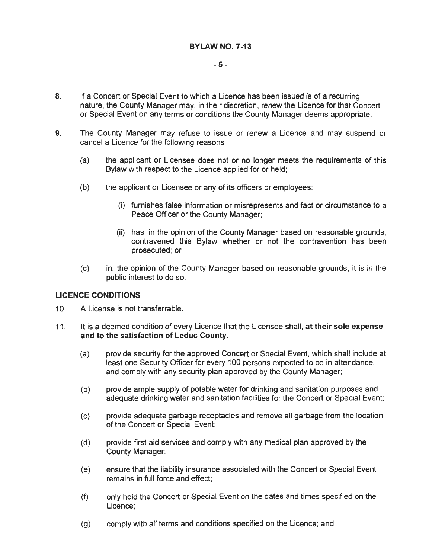- 8. If a Concert or Special Event to which a Licence has been issued is of a recurring nature, the County Manager may, in their discretion, renew the Licence for that Concert or Special Event on any terms or conditions the County Manager deems appropriate.
- 9. The County Manager may refuse to issue or renew a Licence and may suspend or cancel a Licence for the following reasons:
	- (a) the applicant or Licensee does not or no longer meets the requirements of this Bylaw with respect to the Licence applied for or held;
	- (b) the applicant or Licensee or any of its officers or employees:
		- (i) furnishes false information or misrepresents and fact or circumstance to a Peace Officer or the County Manager;
		- (ii) has, in the opinion of the County Manager based on reasonable grounds, contravened this Bylaw whether or not the contravention has been prosecuted; or
	- (c) in, the opinion of the County Manager based on reasonable grounds, it is in the public interest to do so.

# **LICENCE CONDITIONS**

- 10. A License is not transferrable.
- 11. It is a deemed condition of every Licence that the Licensee shall, **at their sole expense and to the satisfaction of Leduc County:** 
	- (a) provide security for the approved Concert or Special Event, which shall include at least one Security Officer for every 1 00 persons expected to be in attendance, and comply with any security plan approved by the County Manager;
	- (b) provide ample supply of potable water for drinking and sanitation purposes and adequate drinking water and sanitation facilities for the Concert or Special Event;
	- (c) provide adequate garbage receptacles and remove all garbage from the location of the Concert or Special Event;
	- (d) provide first aid services and comply with any medical plan approved by the County Manager;
	- (e) ensure that the liability insurance associated with the Concert or Special Event remains in full force and effect;
	- (f) only hold the Concert or Special Event on the dates and times specified on the Licence;
	- (g) comply with all terms and conditions specified on the Licence; and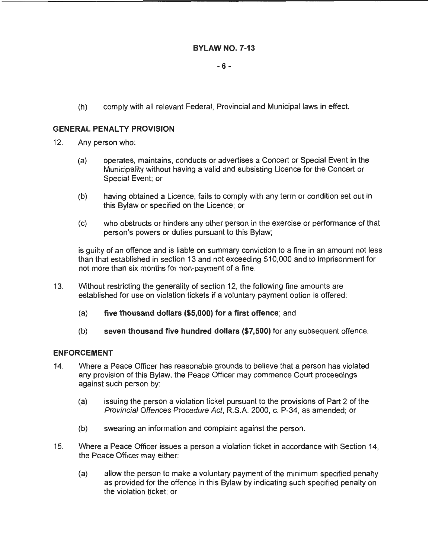## - **6** -

(h) comply with all relevant Federal, Provincial and Municipal laws in effect.

### **GENERAL PENALTY PROVISION**

- 12. Any person who:
	- (a) operates, maintains, conducts or advertises a Concert or Special Event in the Municipality without having a valid and subsisting Licence for the Concert or Special Event; or
	- (b) having obtained a Licence, fails to comply with any term or condition set out in this Bylaw or specified on the Licence; or
	- (c) who obstructs or hinders any other person in the exercise or performance of that person's powers or duties pursuant to this Bylaw;

is guilty of an offence and is liable on summary conviction to a fine in an amount not less than that established in section 13 and not exceeding \$10,000 and to imprisonment for not more than six months for non-payment of a fine.

- 13. Without restricting the generality of section 12, the following fine amounts are established for use on violation tickets if a voluntary payment option is offered:
	- (a) **five thousand dollars (\$5,000) for a first offence;** and
	- (b) **seven thousand five hundred dollars (\$7,500)** for any subsequent offence.

#### **ENFORCEMENT**

- 14. Where a Peace Officer has reasonable grounds to believe that a person has violated any provision of this Bylaw, the Peace Officer may commence Court proceedings against such person by:
	- (a) issuing the person a violation ticket pursuant to the provisions of Part 2 of the Provincial Offences Procedure Act, R.S.A. 2000, c. P-34, as amended; or
	- (b) swearing an information and complaint against the person.
- 15. Where a Peace Officer issues a person a violation ticket in accordance with Section 14, the Peace Officer may either:
	- (a) allow the person to make a voluntary payment of the minimum specified penalty as provided for the offence in this Bylaw by indicating such specified penalty on the violation ticket; or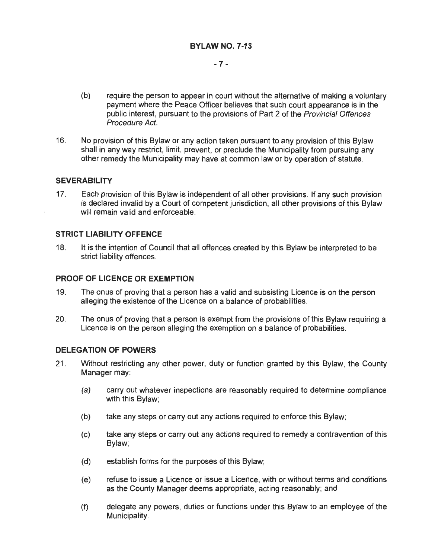# - **7-**

- (b) require the person to appear in court without the alternative of making a voluntary payment where the Peace Officer believes that such court appearance is in the public interest, pursuant to the provisions of Part 2 of the Provincial Offences Procedure Act.
- 16. No provision of this Bylaw or any action taken pursuant to any provision of this Bylaw shall in any way restrict, limit, prevent, or preclude the Municipality from pursuing any other remedy the Municipality may have at common law or by operation of statute.

# **SEVERABILITY**

17. Each provision of this Bylaw is independent of all other provisions. If any such provision is declared invalid by a Court of competent jurisdiction, all other provisions of this Bylaw will remain valid and enforceable.

### **STRICT LIABILITY OFFENCE**

18. It is the intention of Council that all offences created by this Bylaw be interpreted to be strict liability offences.

### **PROOF OF LICENCE OR EXEMPTION**

- 19. The onus of proving that a person has a valid and subsisting Licence is on the person alleging the existence of the Licence on a balance of probabilities.
- 20. The onus of proving that a person is exempt from the provisions of this Bylaw requiring a Licence is on the person alleging the exemption on a balance of probabilities.

### **DELEGATION OF POWERS**

- 21 . Without restricting any other power, duty or function granted by this Bylaw, the County Manager may:
	- (a) carry out whatever inspections are reasonably required to determine compliance with this Bylaw;
	- (b) take any steps or carry out any actions required to enforce this Bylaw;
	- (c) take any steps or carry out any actions required to remedy a contravention of this Bylaw;
	- (d) establish forms for the purposes of this Bylaw;
	- (e) refuse to issue a Licence or issue a Licence, with or without terms and conditions as the County Manager deems appropriate, acting reasonably; and
	- (f) delegate any powers, duties or functions under this Bylaw to an employee of the Municipality.